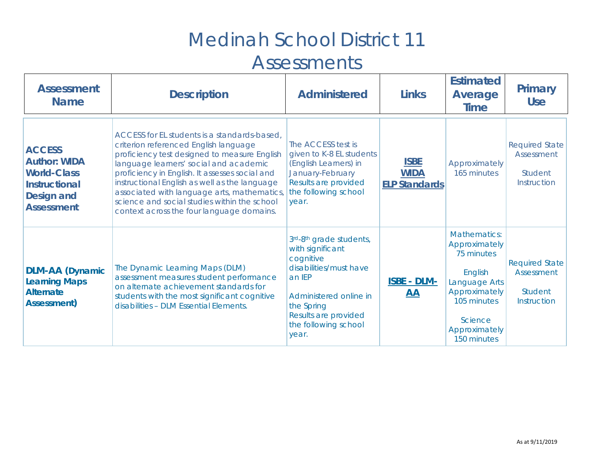| <b>Assessment</b><br><b>Name</b>                                                                                             | <b>Description</b>                                                                                                                                                                                                                                                                                                                                                                                                             | <b>Administered</b>                                                                                                                                                                           | <b>Links</b>                                       | <b>Estimated</b><br>Average<br><b>Time</b>                                                                                                                | <b>Primary</b><br><b>Use</b>                                                |
|------------------------------------------------------------------------------------------------------------------------------|--------------------------------------------------------------------------------------------------------------------------------------------------------------------------------------------------------------------------------------------------------------------------------------------------------------------------------------------------------------------------------------------------------------------------------|-----------------------------------------------------------------------------------------------------------------------------------------------------------------------------------------------|----------------------------------------------------|-----------------------------------------------------------------------------------------------------------------------------------------------------------|-----------------------------------------------------------------------------|
| <b>ACCESS</b><br><b>Author: WIDA</b><br><b>World-Class</b><br><b>Instructional</b><br><b>Design and</b><br><b>Assessment</b> | ACCESS for EL students is a standards-based.<br>criterion referenced English language<br>proficiency test designed to measure English<br>language learners' social and academic<br>proficiency in English. It assesses social and<br>instructional English as well as the language<br>associated with language arts, mathematics,<br>science and social studies within the school<br>context across the four language domains. | The ACCESS test is<br>given to K-8 EL students<br>(English Learners) in<br>January-February<br>Results are provided<br>the following school<br>year.                                          | <b>ISBE</b><br><b>WIDA</b><br><b>ELP Standards</b> | Approximately<br>165 minutes                                                                                                                              | <b>Required State</b><br>Assessment<br>Student<br>Instruction               |
| <b>DLM-AA</b> (Dynamic<br><b>Learning Maps</b><br><b>Alternate</b><br>Assessment)                                            | The Dynamic Learning Maps (DLM)<br>assessment measures student performance<br>on alternate achievement standards for<br>students with the most significant cognitive<br>disabilities - DLM Essential Elements.                                                                                                                                                                                                                 | 3rd-8th grade students,<br>with significant<br>cognitive<br>disabilities/must have<br>an IEP<br>Administered online in<br>the Spring<br>Results are provided<br>the following school<br>year. | <b>ISBE - DLM-</b><br><b>AA</b>                    | <b>Mathematics:</b><br>Approximately<br>75 minutes<br>English<br>Language Arts<br>Approximately<br>105 minutes<br>Science<br>Approximately<br>150 minutes | <b>Required State</b><br><b>Assessment</b><br>Student<br><b>Instruction</b> |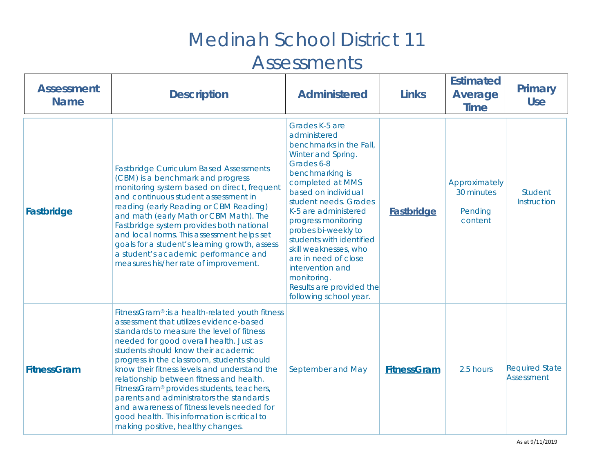| <b>Assessment</b><br><b>Name</b> | <b>Description</b>                                                                                                                                                                                                                                                                                                                                                                                                                                                                                                                                                                                           | <b>Administered</b>                                                                                                                                                                                                                                                                                                                                                                                                              | <b>Links</b>       | <b>Estimated</b><br><b>Average</b><br><b>Time</b> | <b>Primary</b><br><b>Use</b>        |
|----------------------------------|--------------------------------------------------------------------------------------------------------------------------------------------------------------------------------------------------------------------------------------------------------------------------------------------------------------------------------------------------------------------------------------------------------------------------------------------------------------------------------------------------------------------------------------------------------------------------------------------------------------|----------------------------------------------------------------------------------------------------------------------------------------------------------------------------------------------------------------------------------------------------------------------------------------------------------------------------------------------------------------------------------------------------------------------------------|--------------------|---------------------------------------------------|-------------------------------------|
| Fastbridge                       | <b>Fastbridge Curriculum Based Assessments</b><br>(CBM) is a benchmark and progress<br>monitoring system based on direct, frequent<br>and continuous student assessment in<br>reading (early Reading or CBM Reading)<br>and math (early Math or CBM Math). The<br>Fastbridge system provides both national<br>and local norms. This assessment helps set<br>goals for a student's learning growth, assess<br>a student's academic performance and<br>measures his/her rate of improvement.                                                                                                                   | Grades K-5 are<br>administered<br>benchmarks in the Fall,<br>Winter and Spring.<br>Grades 6-8<br>benchmarking is<br>completed at MMS<br>based on individual<br>student needs. Grades<br>K-5 are administered<br>progress monitoring<br>probes bi-weekly to<br>students with identified<br>skill weaknesses, who<br>are in need of close<br>intervention and<br>monitoring.<br>Results are provided the<br>following school year. | <b>Fastbridge</b>  | Approximately<br>30 minutes<br>Pending<br>content | <b>Student</b><br>Instruction       |
| <b>FitnessGram</b>               | FitnessGram® : is a health-related youth fitness<br>assessment that utilizes evidence-based<br>standards to measure the level of fitness<br>needed for good overall health. Just as<br>students should know their academic<br>progress in the classroom, students should<br>know their fitness levels and understand the<br>relationship between fitness and health.<br>FitnessGram <sup>®</sup> provides students, teachers,<br>parents and administrators the standards<br>and awareness of fitness levels needed for<br>good health. This information is critical to<br>making positive, healthy changes. | September and May                                                                                                                                                                                                                                                                                                                                                                                                                | <b>FitnessGram</b> | 2.5 hours                                         | <b>Required State</b><br>Assessment |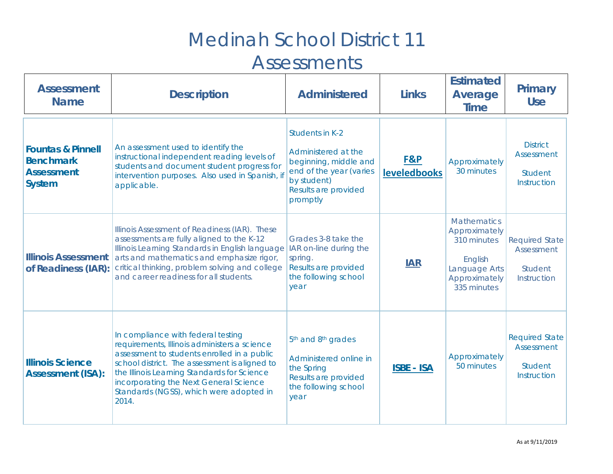| <b>Assessment</b><br><b>Name</b>                                                       | <b>Description</b>                                                                                                                                                                                                                                                                                                              | <b>Administered</b>                                                                                                                           | <b>Links</b>               | <b>Estimated</b><br><b>Average</b><br><b>Time</b>                                                              | <b>Primary</b><br><b>Use</b>                                         |
|----------------------------------------------------------------------------------------|---------------------------------------------------------------------------------------------------------------------------------------------------------------------------------------------------------------------------------------------------------------------------------------------------------------------------------|-----------------------------------------------------------------------------------------------------------------------------------------------|----------------------------|----------------------------------------------------------------------------------------------------------------|----------------------------------------------------------------------|
| <b>Fountas &amp; Pinnell</b><br><b>Benchmark</b><br><b>Assessment</b><br><b>System</b> | An assessment used to identify the<br>instructional independent reading levels of<br>students and document student progress for<br>intervention purposes. Also used in Spanish, if<br>applicable.                                                                                                                               | Students in K-2<br>Administered at the<br>beginning, middle and<br>end of the year (varies<br>by student)<br>Results are provided<br>promptly | F&P<br><b>leveledbooks</b> | Approximately<br>30 minutes                                                                                    | <b>District</b><br>Assessment<br><b>Student</b><br>Instruction       |
| <b>Illinois Assessment</b><br>of Readiness (IAR):                                      | Illinois Assessment of Readiness (IAR). These<br>assessments are fully aligned to the K-12<br>Illinois Learning Standards in English language<br>arts and mathematics and emphasize rigor,<br>critical thinking, problem solving and college<br>and career readiness for all students.                                          | Grades 3-8 take the<br>IAR on-line during the<br>spring.<br>Results are provided<br>the following school<br>year                              | <b>IAR</b>                 | <b>Mathematics</b><br>Approximately<br>310 minutes<br>English<br>Language Arts<br>Approximately<br>335 minutes | <b>Required State</b><br>Assessment<br><b>Student</b><br>Instruction |
| <b>Illinois Science</b><br><b>Assessment (ISA):</b>                                    | In compliance with federal testing<br>requirements, Illinois administers a science<br>assessment to students enrolled in a public<br>school district. The assessment is aligned to<br>the Illinois Learning Standards for Science<br>incorporating the Next General Science<br>Standards (NGSS), which were adopted in<br>2014. | 5 <sup>th</sup> and 8 <sup>th</sup> grades<br>Administered online in<br>the Spring<br>Results are provided<br>the following school<br>year    | <b>ISBE - ISA</b>          | Approximately<br>50 minutes                                                                                    | <b>Required State</b><br>Assessment<br><b>Student</b><br>Instruction |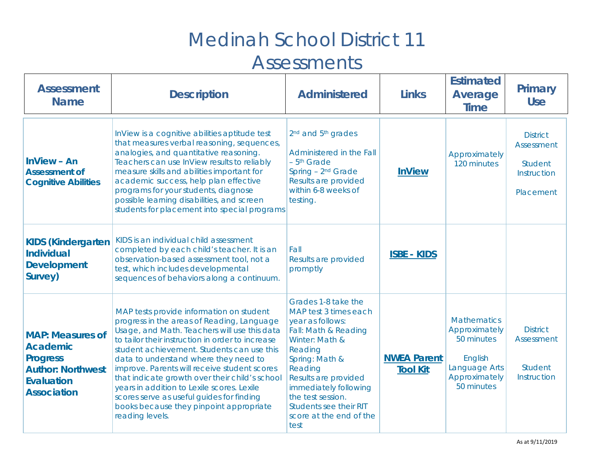| <b>Assessment</b><br><b>Name</b>                                                                                                     | <b>Description</b>                                                                                                                                                                                                                                                                                                                                                                                                                                                                                                                           | <b>Administered</b>                                                                                                                                                                                                                                                                          | <b>Links</b>                          | <b>Estimated</b><br>Average<br><b>Time</b>                                                                   | Primary<br><b>Use</b>                                                              |
|--------------------------------------------------------------------------------------------------------------------------------------|----------------------------------------------------------------------------------------------------------------------------------------------------------------------------------------------------------------------------------------------------------------------------------------------------------------------------------------------------------------------------------------------------------------------------------------------------------------------------------------------------------------------------------------------|----------------------------------------------------------------------------------------------------------------------------------------------------------------------------------------------------------------------------------------------------------------------------------------------|---------------------------------------|--------------------------------------------------------------------------------------------------------------|------------------------------------------------------------------------------------|
| $InView - An$<br><b>Assessment of</b><br><b>Cognitive Abilities</b>                                                                  | InView is a cognitive abilities aptitude test<br>that measures verbal reasoning, sequences,<br>analogies, and quantitative reasoning.<br>Teachers can use InView results to reliably<br>measure skills and abilities important for<br>academic success, help plan effective<br>programs for your students, diagnose<br>possible learning disabilities, and screen<br>students for placement into special programs                                                                                                                            | 2 <sup>nd</sup> and 5 <sup>th</sup> grades<br>Administered in the Fall<br>$-5th$ Grade<br>Spring - 2 <sup>nd</sup> Grade<br>Results are provided<br>within 6-8 weeks of<br>testing.                                                                                                          | <b>InView</b>                         | Approximately<br>120 minutes                                                                                 | <b>District</b><br><b>Assessment</b><br><b>Student</b><br>Instruction<br>Placement |
| <b>KIDS (Kindergarten</b><br><b>Individual</b><br><b>Development</b><br>Survey)                                                      | KIDS is an individual child assessment<br>completed by each child's teacher. It is an<br>observation-based assessment tool, not a<br>test, which includes developmental<br>sequences of behaviors along a continuum.                                                                                                                                                                                                                                                                                                                         | Fall<br>Results are provided<br>promptly                                                                                                                                                                                                                                                     | <b>ISBE - KIDS</b>                    |                                                                                                              |                                                                                    |
| <b>MAP: Measures of</b><br><b>Academic</b><br><b>Progress</b><br><b>Author: Northwest</b><br><b>Evaluation</b><br><b>Association</b> | MAP tests provide information on student<br>progress in the areas of Reading, Language<br>Usage, and Math. Teachers will use this data<br>to tailor their instruction in order to increase<br>student achievement. Students can use this<br>data to understand where they need to<br>improve. Parents will receive student scores<br>that indicate growth over their child's school<br>years in addition to Lexile scores. Lexile<br>scores serve as useful guides for finding<br>books because they pinpoint appropriate<br>reading levels. | Grades 1-8 take the<br>MAP test 3 times each<br>year as follows:<br>Fall: Math & Reading<br>Winter: Math &<br>Reading<br>Spring: Math &<br>Reading<br>Results are provided<br>immediately following<br>the test session.<br><b>Students see their RIT</b><br>score at the end of the<br>test | <b>NWEA Parent</b><br><b>Tool Kit</b> | <b>Mathematics</b><br>Approximately<br>50 minutes<br>English<br>Language Arts<br>Approximately<br>50 minutes | <b>District</b><br>Assessment<br><b>Student</b><br>Instruction                     |